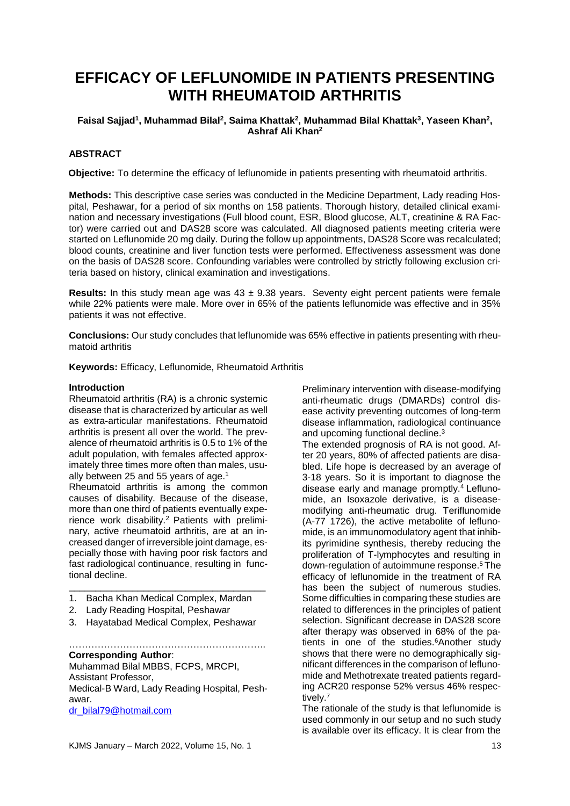# **EFFICACY OF LEFLUNOMIDE IN PATIENTS PRESENTING WITH RHEUMATOID ARTHRITIS**

## **Faisal Sajjad<sup>1</sup> , Muhammad Bilal<sup>2</sup> , Saima Khattak<sup>2</sup> , Muhammad Bilal Khattak<sup>3</sup> , Yaseen Khan<sup>2</sup> , Ashraf Ali Khan<sup>2</sup>**

## **ABSTRACT**

**Objective:** To determine the efficacy of leflunomide in patients presenting with rheumatoid arthritis.

**Methods:** This descriptive case series was conducted in the Medicine Department, Lady reading Hospital, Peshawar, for a period of six months on 158 patients. Thorough history, detailed clinical examination and necessary investigations (Full blood count, ESR, Blood glucose, ALT, creatinine & RA Factor) were carried out and DAS28 score was calculated. All diagnosed patients meeting criteria were started on Leflunomide 20 mg daily. During the follow up appointments, DAS28 Score was recalculated; blood counts, creatinine and liver function tests were performed. Effectiveness assessment was done on the basis of DAS28 score. Confounding variables were controlled by strictly following exclusion criteria based on history, clinical examination and investigations.

**Results:** In this study mean age was  $43 \pm 9.38$  years. Seventy eight percent patients were female while 22% patients were male. More over in 65% of the patients leflunomide was effective and in 35% patients it was not effective.

**Conclusions:** Our study concludes that leflunomide was 65% effective in patients presenting with rheumatoid arthritis

**Keywords:** Efficacy, Leflunomide, Rheumatoid Arthritis

#### **Introduction**

Rheumatoid arthritis (RA) is a chronic systemic disease that is characterized by articular as well as extra-articular manifestations. Rheumatoid arthritis is present all over the world. The prevalence of rheumatoid arthritis is 0.5 to 1% of the adult population, with females affected approximately three times more often than males, usually between 25 and 55 years of age.<sup>1</sup>

Rheumatoid arthritis is among the common causes of disability. Because of the disease, more than one third of patients eventually experience work disability.<sup>2</sup> Patients with preliminary, active rheumatoid arthritis, are at an increased danger of irreversible joint damage, especially those with having poor risk factors and fast radiological continuance, resulting in functional decline.

- \_\_\_\_\_\_\_\_\_\_\_\_\_\_\_\_\_\_\_\_\_\_\_\_\_\_\_\_\_\_\_\_\_\_\_\_\_ 1. Bacha Khan Medical Complex, Mardan
- 2. Lady Reading Hospital, Peshawar
- 3. Hayatabad Medical Complex, Peshawar

…………………………………………………….. **Corresponding Author**:

Muhammad Bilal MBBS, FCPS, MRCPI, Assistant Professor, Medical-B Ward, Lady Reading Hospital, Peshawar. [dr\\_bilal79@hotmail.com](mailto:dr_bilal79@hotmail.com)

KJMS January – March 2022, Volume 15, No. 1 13

Preliminary intervention with disease-modifying anti-rheumatic drugs (DMARDs) control disease activity preventing outcomes of long-term disease inflammation, radiological continuance and upcoming functional decline.<sup>3</sup>

The extended prognosis of RA is not good. After 20 years, 80% of affected patients are disabled. Life hope is decreased by an average of 3-18 years. So it is important to diagnose the disease early and manage promptly.<sup>4</sup> Leflunomide, an Isoxazole derivative, is a diseasemodifying anti-rheumatic drug. Teriflunomide (A-77 1726), the active metabolite of leflunomide, is an immunomodulatory agent that inhibits pyrimidine synthesis, thereby reducing the proliferation of T-lymphocytes and resulting in down-regulation of autoimmune response. <sup>5</sup> The efficacy of leflunomide in the treatment of RA has been the subject of numerous studies. Some difficulties in comparing these studies are related to differences in the principles of patient selection. Significant decrease in DAS28 score after therapy was observed in 68% of the patients in one of the studies.<sup>6</sup>Another study shows that there were no demographically significant differences in the comparison of leflunomide and Methotrexate treated patients regarding ACR20 response 52% versus 46% respectively.<sup>7</sup>

The rationale of the study is that leflunomide is used commonly in our setup and no such study is available over its efficacy. It is clear from the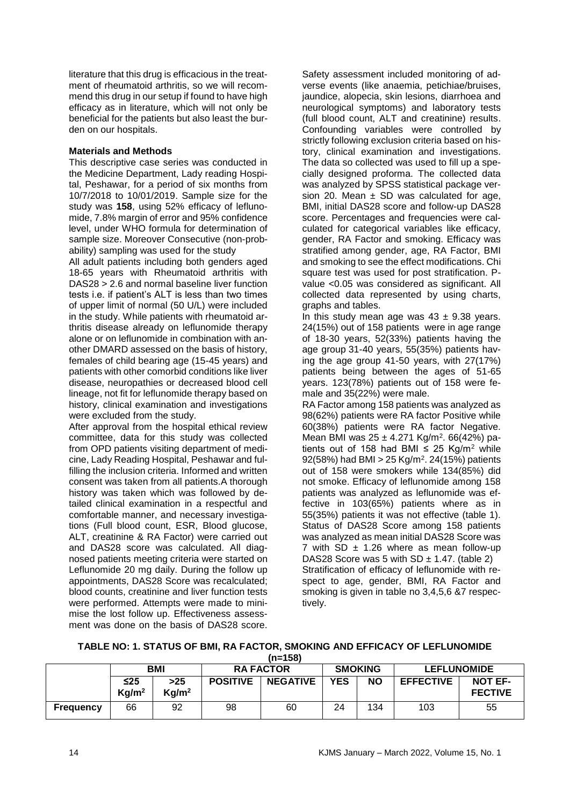literature that this drug is efficacious in the treatment of rheumatoid arthritis, so we will recommend this drug in our setup if found to have high efficacy as in literature, which will not only be beneficial for the patients but also least the burden on our hospitals.

#### **Materials and Methods**

This descriptive case series was conducted in the Medicine Department, Lady reading Hospital, Peshawar, for a period of six months from 10/7/2018 to 10/01/2019. Sample size for the study was **158**, using 52% efficacy of leflunomide, 7.8% margin of error and 95% confidence level, under WHO formula for determination of sample size. Moreover Consecutive (non-probability) sampling was used for the study

All adult patients including both genders aged 18-65 years with Rheumatoid arthritis with DAS28 > 2.6 and normal baseline liver function tests i.e. if patient's ALT is less than two times of upper limit of normal (50 U/L) were included in the study. While patients with rheumatoid arthritis disease already on leflunomide therapy alone or on leflunomide in combination with another DMARD assessed on the basis of history, females of child bearing age (15-45 years) and patients with other comorbid conditions like liver disease, neuropathies or decreased blood cell lineage, not fit for leflunomide therapy based on history, clinical examination and investigations were excluded from the study.

After approval from the hospital ethical review committee, data for this study was collected from OPD patients visiting department of medicine, Lady Reading Hospital, Peshawar and fulfilling the inclusion criteria. Informed and written consent was taken from all patients.A thorough history was taken which was followed by detailed clinical examination in a respectful and comfortable manner, and necessary investigations (Full blood count, ESR, Blood glucose, ALT, creatinine & RA Factor) were carried out and DAS28 score was calculated. All diagnosed patients meeting criteria were started on Leflunomide 20 mg daily. During the follow up appointments, DAS28 Score was recalculated; blood counts, creatinine and liver function tests were performed. Attempts were made to minimise the lost follow up. Effectiveness assessment was done on the basis of DAS28 score. Safety assessment included monitoring of adverse events (like anaemia, petichiae/bruises, jaundice, alopecia, skin lesions, diarrhoea and neurological symptoms) and laboratory tests (full blood count, ALT and creatinine) results. Confounding variables were controlled by strictly following exclusion criteria based on history, clinical examination and investigations. The data so collected was used to fill up a specially designed proforma. The collected data was analyzed by SPSS statistical package version 20. Mean  $\pm$  SD was calculated for age, BMI, initial DAS28 score and follow-up DAS28 score. Percentages and frequencies were calculated for categorical variables like efficacy, gender, RA Factor and smoking. Efficacy was stratified among gender, age, RA Factor, BMI and smoking to see the effect modifications. Chi square test was used for post stratification. Pvalue <0.05 was considered as significant. All collected data represented by using charts, graphs and tables.

In this study mean age was  $43 \pm 9.38$  years. 24(15%) out of 158 patients were in age range of 18-30 years, 52(33%) patients having the age group 31-40 years, 55(35%) patients having the age group 41-50 years, with 27(17%) patients being between the ages of 51-65 years. 123(78%) patients out of 158 were female and 35(22%) were male.

RA Factor among 158 patients was analyzed as 98(62%) patients were RA factor Positive while 60(38%) patients were RA factor Negative. Mean BMI was 25 ± 4.271 Kg/m<sup>2</sup>. 66(42%) patients out of 158 had BMI  $\leq$  25 Kg/m<sup>2</sup> while 92(58%) had BMI > 25 Kg/m<sup>2</sup> . 24(15%) patients out of 158 were smokers while 134(85%) did not smoke. Efficacy of leflunomide among 158 patients was analyzed as leflunomide was effective in 103(65%) patients where as in 55(35%) patients it was not effective (table 1). Status of DAS28 Score among 158 patients was analyzed as mean initial DAS28 Score was 7 with SD  $\pm$  1.26 where as mean follow-up DAS28 Score was 5 with  $SD \pm 1.47$ . (table 2) Stratification of efficacy of leflunomide with respect to age, gender, BMI, RA Factor and smoking is given in table no 3,4,5,6 &7 respectively.

## **TABLE NO: 1. STATUS OF BMI, RA FACTOR, SMOKING AND EFFICACY OF LEFLUNOMIDE**

**(n=158)**

|                  | <b>BMI</b>                     |                            | <b>RA FACTOR</b> |                 | <b>SMOKING</b> |           | <b>LEFLUNOMIDE</b> |                                  |
|------------------|--------------------------------|----------------------------|------------------|-----------------|----------------|-----------|--------------------|----------------------------------|
|                  | $\leq$ 25<br>Kg/m <sup>2</sup> | $>25$<br>Kg/m <sup>2</sup> | <b>POSITIVE</b>  | <b>NEGATIVE</b> | <b>YES</b>     | <b>NO</b> | <b>EFFECTIVE</b>   | <b>NOT EF-</b><br><b>FECTIVE</b> |
| <b>Frequency</b> | 66                             | 92                         | 98               | 60              | 24             | 134       | 103                | 55                               |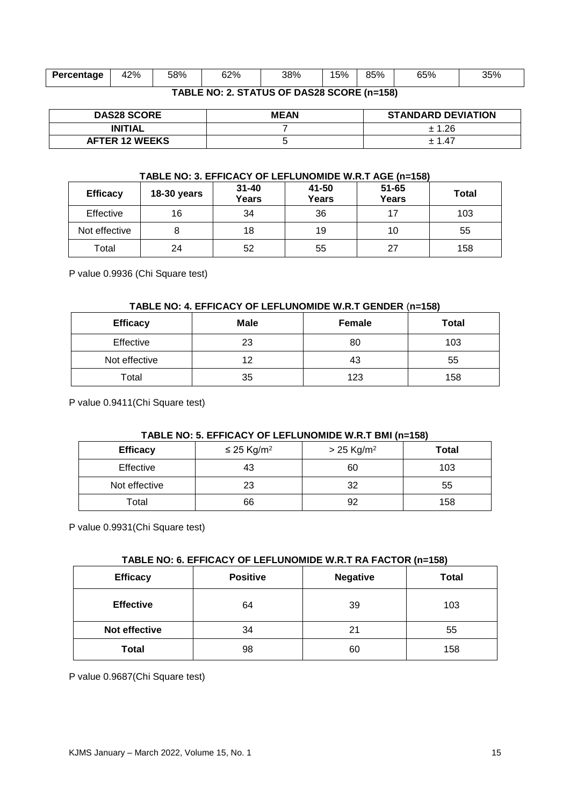| Percentage                                 | 42% | 58% | 62% | 38% | 15% | 85% | 65% | 35% |
|--------------------------------------------|-----|-----|-----|-----|-----|-----|-----|-----|
| TABLE NO: 2. STATUS OF DAS28 SCORE (n=158) |     |     |     |     |     |     |     |     |

| <b>DAS28 SCORE</b>    | <b>MEAN</b> | <b>STANDARD DEVIATION</b> |  |
|-----------------------|-------------|---------------------------|--|
| <b>INITIAL</b>        |             | ± 1.26                    |  |
| <b>AFTER 12 WEEKS</b> |             | 14                        |  |

#### **TABLE NO: 3. EFFICACY OF LEFLUNOMIDE W.R.T AGE (n=158)**

| <b>Efficacy</b> | <b>18-30 years</b> | $31 - 40$<br><b>Years</b> | 41-50<br>Years | $51 - 65$<br><b>Years</b> | Total |
|-----------------|--------------------|---------------------------|----------------|---------------------------|-------|
| Effective       | 16                 | 34                        | 36             |                           | 103   |
| Not effective   |                    | 18                        | 19             | 10                        | 55    |
| Total           | 24                 | 52                        | 55             | 27                        | 158   |

P value 0.9936 (Chi Square test)

#### **TABLE NO: 4. EFFICACY OF LEFLUNOMIDE W.R.T GENDER** (**n=158)**

| <b>Efficacy</b> | <b>Male</b> | <b>Female</b> | <b>Total</b> |
|-----------------|-------------|---------------|--------------|
| Effective       | 23          | 80            | 103          |
| Not effective   | 12          | 43            | 55           |
| Total           | 35          | 123           | 158          |

P value 0.9411(Chi Square test)

## **TABLE NO: 5. EFFICACY OF LEFLUNOMIDE W.R.T BMI (n=158)**

| <b>Efficacy</b> | $\leq$ 25 Kg/m <sup>2</sup> | $> 25$ Kg/m <sup>2</sup> | <b>Total</b> |  |
|-----------------|-----------------------------|--------------------------|--------------|--|
| Effective       | 43                          | 60                       | 103          |  |
| Not effective   | 23                          | 32                       | 55           |  |
| Total           | 66                          | 92                       | 158          |  |

P value 0.9931(Chi Square test)

#### **TABLE NO: 6. EFFICACY OF LEFLUNOMIDE W.R.T RA FACTOR (n=158)**

| <b>Efficacy</b>  | <b>Positive</b> | <b>Negative</b> | <b>Total</b> |
|------------------|-----------------|-----------------|--------------|
| <b>Effective</b> | 64              | 39              | 103          |
| Not effective    | 34              | 21              | 55           |
| <b>Total</b>     | 98              | 60              | 158          |

P value 0.9687(Chi Square test)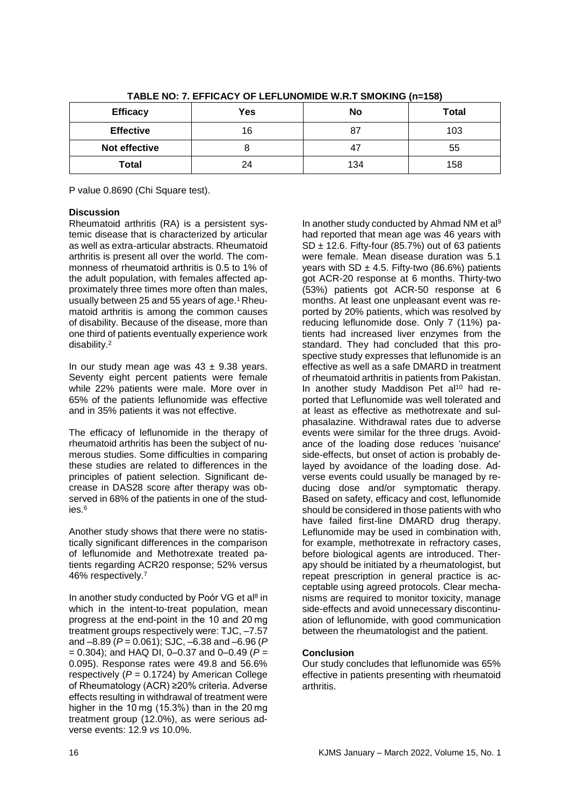| <b>Efficacy</b>  | Yes | No  | <b>Total</b> |
|------------------|-----|-----|--------------|
| <b>Effective</b> | 16  |     | 103          |
| Not effective    |     |     | 55           |
| Total            | 24  | 134 | 158          |

**TABLE NO: 7. EFFICACY OF LEFLUNOMIDE W.R.T SMOKING (n=158)**

P value 0.8690 (Chi Square test).

## **Discussion**

Rheumatoid arthritis (RA) is a persistent systemic disease that is characterized by articular as well as extra-articular abstracts. Rheumatoid arthritis is present all over the world. The commonness of rheumatoid arthritis is 0.5 to 1% of the adult population, with females affected approximately three times more often than males, usually between 25 and 55 years of age.<sup>1</sup> Rheumatoid arthritis is among the common causes of disability. Because of the disease, more than one third of patients eventually experience work disability.<sup>2</sup>

In our study mean age was  $43 \pm 9.38$  years. Seventy eight percent patients were female while 22% patients were male. More over in 65% of the patients leflunomide was effective and in 35% patients it was not effective.

The efficacy of leflunomide in the therapy of rheumatoid arthritis has been the subject of numerous studies. Some difficulties in comparing these studies are related to differences in the principles of patient selection. Significant decrease in DAS28 score after therapy was observed in 68% of the patients in one of the studies.<sup>6</sup>

Another study shows that there were no statistically significant differences in the comparison of leflunomide and Methotrexate treated patients regarding ACR20 response; 52% versus 46% respectively.<sup>7</sup>

In another study conducted by [Poór](javascript:;) [VG et al](javascript:;)<sup>8</sup> in [which i](javascript:;)n the intent-to-treat population, mean progress at the end-point in the 10 and 20 mg treatment groups respectively were: TJC, –7.57 and –8.89 (*P* = 0.061); SJC, –6.38 and –6.96 (*P* = 0.304); and HAQ DI, 0–0.37 and 0–0.49 (*P* = 0.095). Response rates were 49.8 and 56.6% respectively  $(P = 0.1724)$  by American College of Rheumatology (ACR) ≥20% criteria. Adverse effects resulting in withdrawal of treatment were higher in the 10 mg (15.3%) than in the 20 mg treatment group (12.0%), as were serious adverse events: 12.9 *vs* 10.0%.

In another study conducted by [Ahmad](https://onlinelibrary.wiley.com/action/doSearch?ContribAuthorStored=AHMAD%2C+Nighat+M) NM et al<sup>9</sup> had reported that mean age was 46 years with SD  $\pm$  12.6. Fifty-four (85.7%) out of 63 patients were female. Mean disease duration was 5.1 years with SD  $\pm$  4.5. Fifty-two (86.6%) patients got ACR-20 response at 6 months. Thirty-two (53%) patients got ACR‐50 response at 6 months. At least one unpleasant event was reported by 20% patients, which was resolved by reducing leflunomide dose. Only 7 (11%) patients had increased liver enzymes from the standard. They had concluded that this prospective study expresses that leflunomide is an effective as well as a safe DMARD in treatment of rheumatoid arthritis in patients from Pakistan. In another study [Maddison Pe](https://www.ncbi.nlm.nih.gov/pubmed/?term=Maddison%20P%5BAuthor%5D&cauthor=true&cauthor_uid=15657072)t al<sup>10</sup> had reported that Leflunomide was well tolerated and at least as effective as methotrexate and sulphasalazine. Withdrawal rates due to adverse events were similar for the three drugs. Avoidance of the loading dose reduces 'nuisance' side-effects, but onset of action is probably delayed by avoidance of the loading dose. Adverse events could usually be managed by reducing dose and/or symptomatic therapy. Based on safety, efficacy and cost, leflunomide should be considered in those patients with who have failed first-line DMARD drug therapy. Leflunomide may be used in combination with, for example, methotrexate in refractory cases, before biological agents are introduced. Therapy should be initiated by a rheumatologist, but repeat prescription in general practice is acceptable using agreed protocols. Clear mechanisms are required to monitor toxicity, manage side-effects and avoid unnecessary discontinuation of leflunomide, with good communication between the rheumatologist and the patient.

## **Conclusion**

Our study concludes that leflunomide was 65% effective in patients presenting with rheumatoid arthritis.